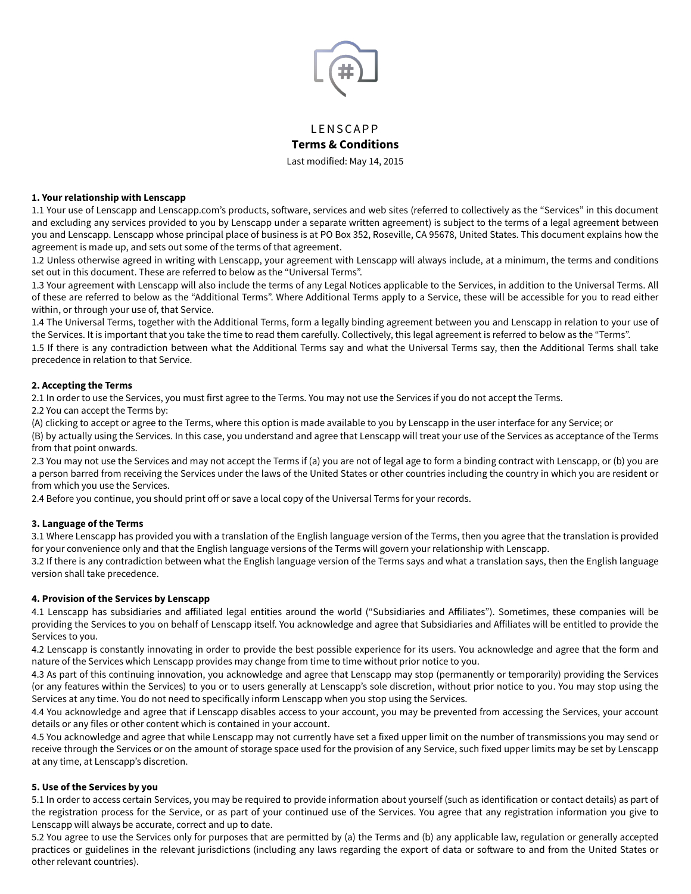

# **LENSCAPP Terms & Conditions**

Last modified: May 14, 2015

# **1. Your relationship with Lenscapp**

1.1 Your use of Lenscapp and Lenscapp.com's products, sofware, services and web sites (referred to collectively as the "Services" in this document and excluding any services provided to you by Lenscapp under a separate written agreement) is subject to the terms of a legal agreement between you and Lenscapp. Lenscapp whose principal place of business is at PO Box 352, Roseville, CA 95678, United States. This document explains how the agreement is made up, and sets out some of the terms of that agreement.

1.2 Unless otherwise agreed in writing with Lenscapp, your agreement with Lenscapp will always include, at a minimum, the terms and conditions set out in this document. These are referred to below as the "Universal Terms".

1.3 Your agreement with Lenscapp will also include the terms of any Legal Notices applicable to the Services, in addition to the Universal Terms. All of these are referred to below as the "Additional Terms". Where Additional Terms apply to a Service, these will be accessible for you to read either within, or through your use of, that Service.

1.4 The Universal Terms, together with the Additional Terms, form a legally binding agreement between you and Lenscapp in relation to your use of the Services. It is important that you take the time to read them carefully. Collectively, this legal agreement is referred to below as the "Terms".

1.5 If there is any contradiction between what the Additional Terms say and what the Universal Terms say, then the Additional Terms shall take precedence in relation to that Service.

#### **2. Accepting the Terms**

2.1 In order to use the Services, you must first agree to the Terms. You may not use the Services if you do not accept the Terms.

2.2 You can accept the Terms by:

(A) clicking to accept or agree to the Terms, where this option is made available to you by Lenscapp in the user interface for any Service; or

(B) by actually using the Services. In this case, you understand and agree that Lenscapp will treat your use of the Services as acceptance of the Terms from that point onwards.

2.3 You may not use the Services and may not accept the Terms if (a) you are not of legal age to form a binding contract with Lenscapp, or (b) you are a person barred from receiving the Services under the laws of the United States or other countries including the country in which you are resident or from which you use the Services.

2.4 Before you continue, you should print off or save a local copy of the Universal Terms for your records.

#### **3. Language of the Terms**

3.1 Where Lenscapp has provided you with a translation of the English language version of the Terms, then you agree that the translation is provided for your convenience only and that the English language versions of the Terms will govern your relationship with Lenscapp.

3.2 If there is any contradiction between what the English language version of the Terms says and what a translation says, then the English language version shall take precedence.

#### **4. Provision of the Services by Lenscapp**

4.1 Lenscapp has subsidiaries and afiliated legal entities around the world ("Subsidiaries and Afiliates"). Sometimes, these companies will be providing the Services to you on behalf of Lenscapp itself. You acknowledge and agree that Subsidiaries and Afiliates will be entitled to provide the Services to you.

4.2 Lenscapp is constantly innovating in order to provide the best possible experience for its users. You acknowledge and agree that the form and nature of the Services which Lenscapp provides may change from time to time without prior notice to you.

4.3 As part of this continuing innovation, you acknowledge and agree that Lenscapp may stop (permanently or temporarily) providing the Services (or any features within the Services) to you or to users generally at Lenscapp's sole discretion, without prior notice to you. You may stop using the Services at any time. You do not need to specifically inform Lenscapp when you stop using the Services.

4.4 You acknowledge and agree that if Lenscapp disables access to your account, you may be prevented from accessing the Services, your account details or any files or other content which is contained in your account.

4.5 You acknowledge and agree that while Lenscapp may not currently have set a fixed upper limit on the number of transmissions you may send or receive through the Services or on the amount of storage space used for the provision of any Service, such fixed upper limits may be set by Lenscapp at any time, at Lenscapp's discretion.

# **5. Use of the Services by you**

5.1 In order to access certain Services, you may be required to provide information about yourself (such as identification or contact details) as part of the registration process for the Service, or as part of your continued use of the Services. You agree that any registration information you give to Lenscapp will always be accurate, correct and up to date.

5.2 You agree to use the Services only for purposes that are permitted by (a) the Terms and (b) any applicable law, regulation or generally accepted practices or guidelines in the relevant jurisdictions (including any laws regarding the export of data or sofware to and from the United States or other relevant countries).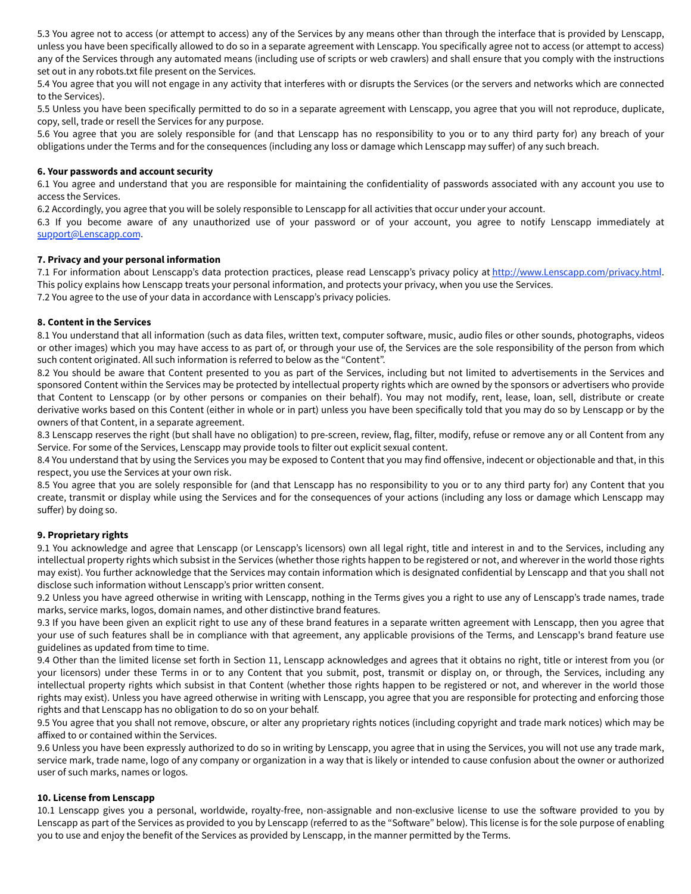5.3 You agree not to access (or attempt to access) any of the Services by any means other than through the interface that is provided by Lenscapp, unless you have been specifically allowed to do so in a separate agreement with Lenscapp. You specifically agree not to access (or attempt to access) any of the Services through any automated means (including use of scripts or web crawlers) and shall ensure that you comply with the instructions set out in any robots.txt file present on the Services.

5.4 You agree that you will not engage in any activity that interferes with or disrupts the Services (or the servers and networks which are connected to the Services).

5.5 Unless you have been specifically permitted to do so in a separate agreement with Lenscapp, you agree that you will not reproduce, duplicate, copy, sell, trade or resell the Services for any purpose.

5.6 You agree that you are solely responsible for (and that Lenscapp has no responsibility to you or to any third party for) any breach of your obligations under the Terms and for the consequences (including any loss or damage which Lenscapp may sufer) of any such breach.

#### **6. Your passwords and account security**

6.1 You agree and understand that you are responsible for maintaining the confidentiality of passwords associated with any account you use to access the Services.

6.2 Accordingly, you agree that you will be solely responsible to Lenscapp for all activities that occur under your account.

6.3 If you become aware of any unauthorized use of your password or of your account, you agree to notify Lenscapp immediately at support@Lenscapp.com.

#### **7. Privacy and your personal information**

7.1 For information about Lenscapp's data protection practices, please read Lenscapp's privacy policy at http://www.Lenscapp.com/privacy.html. This policy explains how Lenscapp treats your personal information, and protects your privacy, when you use the Services.

7.2 You agree to the use of your data in accordance with Lenscapp's privacy policies.

#### **8. Content in the Services**

8.1 You understand that all information (such as data files, written text, computer sofware, music, audio files or other sounds, photographs, videos or other images) which you may have access to as part of, or through your use of, the Services are the sole responsibility of the person from which such content originated. All such information is referred to below as the "Content".

8.2 You should be aware that Content presented to you as part of the Services, including but not limited to advertisements in the Services and sponsored Content within the Services may be protected by intellectual property rights which are owned by the sponsors or advertisers who provide that Content to Lenscapp (or by other persons or companies on their behalf). You may not modify, rent, lease, loan, sell, distribute or create derivative works based on this Content (either in whole or in part) unless you have been specifically told that you may do so by Lenscapp or by the owners of that Content, in a separate agreement.

8.3 Lenscapp reserves the right (but shall have no obligation) to pre-screen, review, flag, filter, modify, refuse or remove any or all Content from any Service. For some of the Services, Lenscapp may provide tools to filter out explicit sexual content.

8.4 You understand that by using the Services you may be exposed to Content that you may find offensive, indecent or objectionable and that, in this respect, you use the Services at your own risk.

8.5 You agree that you are solely responsible for (and that Lenscapp has no responsibility to you or to any third party for) any Content that you create, transmit or display while using the Services and for the consequences of your actions (including any loss or damage which Lenscapp may suffer) by doing so.

# **9. Proprietary rights**

9.1 You acknowledge and agree that Lenscapp (or Lenscapp's licensors) own all legal right, title and interest in and to the Services, including any intellectual property rights which subsist in the Services (whether those rights happen to be registered or not, and wherever in the world those rights may exist). You further acknowledge that the Services may contain information which is designated confidential by Lenscapp and that you shall not disclose such information without Lenscapp's prior written consent.

9.2 Unless you have agreed otherwise in writing with Lenscapp, nothing in the Terms gives you a right to use any of Lenscapp's trade names, trade marks, service marks, logos, domain names, and other distinctive brand features.

9.3 If you have been given an explicit right to use any of these brand features in a separate written agreement with Lenscapp, then you agree that your use of such features shall be in compliance with that agreement, any applicable provisions of the Terms, and Lenscapp's brand feature use guidelines as updated from time to time.

9.4 Other than the limited license set forth in Section 11, Lenscapp acknowledges and agrees that it obtains no right, title or interest from you (or your licensors) under these Terms in or to any Content that you submit, post, transmit or display on, or through, the Services, including any intellectual property rights which subsist in that Content (whether those rights happen to be registered or not, and wherever in the world those rights may exist). Unless you have agreed otherwise in writing with Lenscapp, you agree that you are responsible for protecting and enforcing those rights and that Lenscapp has no obligation to do so on your behalf.

9.5 You agree that you shall not remove, obscure, or alter any proprietary rights notices (including copyright and trade mark notices) which may be afixed to or contained within the Services.

9.6 Unless you have been expressly authorized to do so in writing by Lenscapp, you agree that in using the Services, you will not use any trade mark, service mark, trade name, logo of any company or organization in a way that is likely or intended to cause confusion about the owner or authorized user of such marks, names or logos.

# **10. License from Lenscapp**

10.1 Lenscapp gives you a personal, worldwide, royalty-free, non-assignable and non-exclusive license to use the sofware provided to you by Lenscapp as part of the Services as provided to you by Lenscapp (referred to as the "Sofware" below). This license is for the sole purpose of enabling you to use and enjoy the benefit of the Services as provided by Lenscapp, in the manner permitted by the Terms.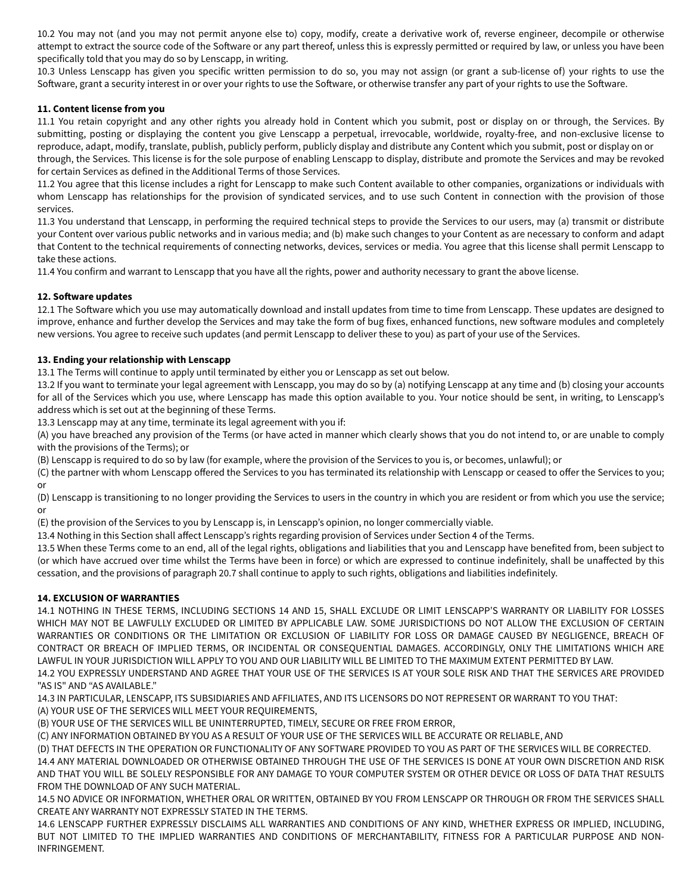10.2 You may not (and you may not permit anyone else to) copy, modify, create a derivative work of, reverse engineer, decompile or otherwise attempt to extract the source code of the Sofware or any part thereof, unless this is expressly permitted or required by law, or unless you have been specifically told that you may do so by Lenscapp, in writing.

10.3 Unless Lenscapp has given you specific written permission to do so, you may not assign (or grant a sub-license of) your rights to use the Sofware, grant a security interest in or over your rights to use the Sofware, or otherwise transfer any part of your rights to use the Sofware.

# **11. Content license from you**

11.1 You retain copyright and any other rights you already hold in Content which you submit, post or display on or through, the Services. By submitting, posting or displaying the content you give Lenscapp a perpetual, irrevocable, worldwide, royalty-free, and non-exclusive license to reproduce, adapt, modify, translate, publish, publicly perform, publicly display and distribute any Content which you submit, post or display on or through, the Services. This license is for the sole purpose of enabling Lenscapp to display, distribute and promote the Services and may be revoked for certain Services as defined in the Additional Terms of those Services.

11.2 You agree that this license includes a right for Lenscapp to make such Content available to other companies, organizations or individuals with whom Lenscapp has relationships for the provision of syndicated services, and to use such Content in connection with the provision of those services.

11.3 You understand that Lenscapp, in performing the required technical steps to provide the Services to our users, may (a) transmit or distribute your Content over various public networks and in various media; and (b) make such changes to your Content as are necessary to conform and adapt that Content to the technical requirements of connecting networks, devices, services or media. You agree that this license shall permit Lenscapp to take these actions.

11.4 You confirm and warrant to Lenscapp that you have all the rights, power and authority necessary to grant the above license.

# **12. Sofware updates**

12.1 The Sofware which you use may automatically download and install updates from time to time from Lenscapp. These updates are designed to improve, enhance and further develop the Services and may take the form of bug fixes, enhanced functions, new sofware modules and completely new versions. You agree to receive such updates (and permit Lenscapp to deliver these to you) as part of your use of the Services.

# **13. Ending your relationship with Lenscapp**

13.1 The Terms will continue to apply until terminated by either you or Lenscapp as set out below.

13.2 If you want to terminate your legal agreement with Lenscapp, you may do so by (a) notifying Lenscapp at any time and (b) closing your accounts for all of the Services which you use, where Lenscapp has made this option available to you. Your notice should be sent, in writing, to Lenscapp's address which is set out at the beginning of these Terms.

13.3 Lenscapp may at any time, terminate its legal agreement with you if:

(A) you have breached any provision of the Terms (or have acted in manner which clearly shows that you do not intend to, or are unable to comply with the provisions of the Terms); or

(B) Lenscapp is required to do so by law (for example, where the provision of the Services to you is, or becomes, unlawful); or

(C) the partner with whom Lenscapp ofered the Services to you has terminated its relationship with Lenscapp or ceased to ofer the Services to you; or

(D) Lenscapp is transitioning to no longer providing the Services to users in the country in which you are resident or from which you use the service; or

(E) the provision of the Services to you by Lenscapp is, in Lenscapp's opinion, no longer commercially viable.

13.4 Nothing in this Section shall afect Lenscapp's rights regarding provision of Services under Section 4 of the Terms.

13.5 When these Terms come to an end, all of the legal rights, obligations and liabilities that you and Lenscapp have benefited from, been subject to (or which have accrued over time whilst the Terms have been in force) or which are expressed to continue indefinitely, shall be unafected by this cessation, and the provisions of paragraph 20.7 shall continue to apply to such rights, obligations and liabilities indefinitely.

# **14. EXCLUSION OF WARRANTIES**

14.1 NOTHING IN THESE TERMS, INCLUDING SECTIONS 14 AND 15, SHALL EXCLUDE OR LIMIT LENSCAPP'S WARRANTY OR LIABILITY FOR LOSSES WHICH MAY NOT BE LAWFULLY EXCLUDED OR LIMITED BY APPLICABLE LAW. SOME JURISDICTIONS DO NOT ALLOW THE EXCLUSION OF CERTAIN WARRANTIES OR CONDITIONS OR THE LIMITATION OR EXCLUSION OF LIABILITY FOR LOSS OR DAMAGE CAUSED BY NEGLIGENCE, BREACH OF CONTRACT OR BREACH OF IMPLIED TERMS, OR INCIDENTAL OR CONSEQUENTIAL DAMAGES. ACCORDINGLY, ONLY THE LIMITATIONS WHICH ARE LAWFUL IN YOUR JURISDICTION WILL APPLY TO YOU AND OUR LIABILITY WILL BE LIMITED TO THE MAXIMUM EXTENT PERMITTED BY LAW.

14.2 YOU EXPRESSLY UNDERSTAND AND AGREE THAT YOUR USE OF THE SERVICES IS AT YOUR SOLE RISK AND THAT THE SERVICES ARE PROVIDED "AS IS" AND "AS AVAILABLE."

14.3 IN PARTICULAR, LENSCAPP, ITS SUBSIDIARIES AND AFFILIATES, AND ITS LICENSORS DO NOT REPRESENT OR WARRANT TO YOU THAT: (A) YOUR USE OF THE SERVICES WILL MEET YOUR REQUIREMENTS,

(B) YOUR USE OF THE SERVICES WILL BE UNINTERRUPTED, TIMELY, SECURE OR FREE FROM ERROR,

(C) ANY INFORMATION OBTAINED BY YOU AS A RESULT OF YOUR USE OF THE SERVICES WILL BE ACCURATE OR RELIABLE, AND

(D) THAT DEFECTS IN THE OPERATION OR FUNCTIONALITY OF ANY SOFTWARE PROVIDED TO YOU AS PART OF THE SERVICES WILL BE CORRECTED.

14.4 ANY MATERIAL DOWNLOADED OR OTHERWISE OBTAINED THROUGH THE USE OF THE SERVICES IS DONE AT YOUR OWN DISCRETION AND RISK AND THAT YOU WILL BE SOLELY RESPONSIBLE FOR ANY DAMAGE TO YOUR COMPUTER SYSTEM OR OTHER DEVICE OR LOSS OF DATA THAT RESULTS FROM THE DOWNLOAD OF ANY SUCH MATERIAL.

14.5 NO ADVICE OR INFORMATION, WHETHER ORAL OR WRITTEN, OBTAINED BY YOU FROM LENSCAPP OR THROUGH OR FROM THE SERVICES SHALL CREATE ANY WARRANTY NOT EXPRESSLY STATED IN THE TERMS.

14.6 LENSCAPP FURTHER EXPRESSLY DISCLAIMS ALL WARRANTIES AND CONDITIONS OF ANY KIND, WHETHER EXPRESS OR IMPLIED, INCLUDING, BUT NOT LIMITED TO THE IMPLIED WARRANTIES AND CONDITIONS OF MERCHANTABILITY, FITNESS FOR A PARTICULAR PURPOSE AND NON-INFRINGEMENT.